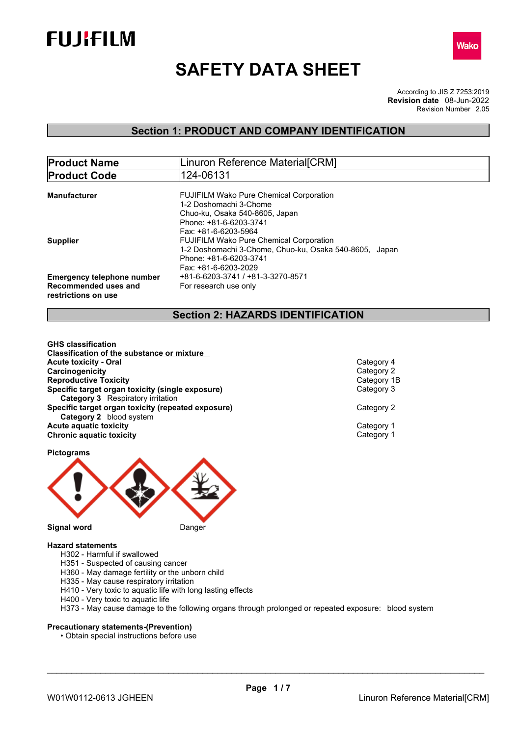



# **SAFETY DATA SHEET**

According to JIS Z 7253:2019 Revision Number 2.05 **Revision date** 08-Jun-2022

# **Section 1: PRODUCT AND COMPANY IDENTIFICATION**

| <b>Product Name</b>               | Linuron Reference Material[CRM]                        |  |
|-----------------------------------|--------------------------------------------------------|--|
| <b>Product Code</b>               | 124-06131                                              |  |
|                                   |                                                        |  |
| <b>Manufacturer</b>               | <b>FUJIFILM Wako Pure Chemical Corporation</b>         |  |
|                                   | 1-2 Doshomachi 3-Chome                                 |  |
|                                   | Chuo-ku, Osaka 540-8605, Japan                         |  |
|                                   | Phone: +81-6-6203-3741                                 |  |
|                                   | Fax: +81-6-6203-5964                                   |  |
| <b>Supplier</b>                   | <b>FUJIFILM Wako Pure Chemical Corporation</b>         |  |
|                                   | 1-2 Doshomachi 3-Chome, Chuo-ku, Osaka 540-8605, Japan |  |
|                                   | Phone: +81-6-6203-3741                                 |  |
|                                   | Fax: +81-6-6203-2029                                   |  |
| <b>Emergency telephone number</b> | +81-6-6203-3741 / +81-3-3270-8571                      |  |
| Recommended uses and              | For research use only                                  |  |
| restrictions on use               |                                                        |  |
|                                   |                                                        |  |

## **Section 2: HAZARDS IDENTIFICATION**

**GHS classification Classification of the substance or mixture Acute toxicity - Oral** Category 4 **Carcinogenicity** Category 2<br> **Category 2**<br> **Category 1B**<br>
Category 1B **Reproductive Toxicity Specific target organ toxicity (single exposure)** Category 3 **Category 3** Respiratory irritation **Specific target organ toxicity (repeated exposure) Category 2 Category 2** blood system **Acute aquatic toxicity**<br> **Category 1**<br> **Category 1**<br> **Category 1 Chronic aquatic toxicity** 

**Pictograms**



## **Hazard statements**

- H302 Harmful if swallowed
- H351 Suspected of causing cancer
- H360 May damage fertility or the unborn child
- H335 May cause respiratory irritation
- H410 Very toxic to aquatic life with long lasting effects
- H400 Very toxic to aquatic life

H373 - May cause damage to the following organs through prolonged or repeated exposure: blood system

## **Precautionary statements-(Prevention)**

• Obtain special instructions before use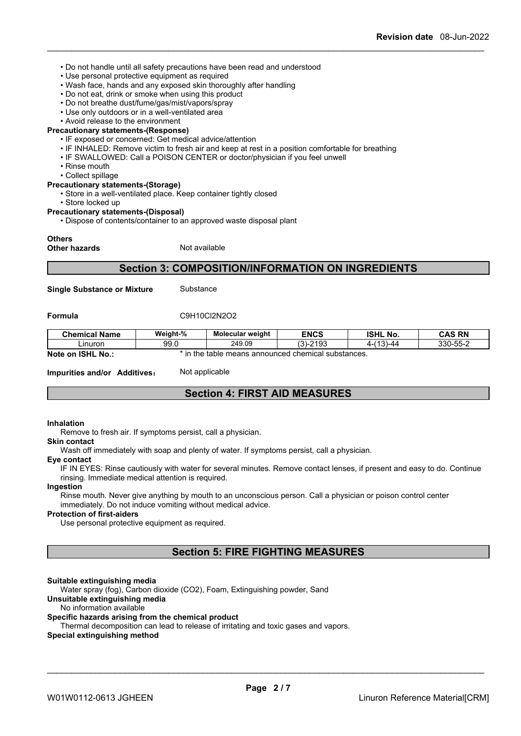- Do not handle until all safety precautions have been read and understood
- Use personal protective equipment as required
- Wash face, hands and any exposed skin thoroughly after handling
- Do not eat, drink or smoke when using this product
- Do not breathe dust/fume/gas/mist/vapors/spray
- Use only outdoors or in a well-ventilated area
- Avoid release to the environment

#### **Precautionary statements-(Response)**

- IF exposed or concerned: Get medical advice/attention
- IF INHALED: Remove victim to fresh air and keep at rest in a position comfortable for breathing
- IF SWALLOWED: Call a POISON CENTER or doctor/physician if you feel unwell
- Rinse mouth
- Collect spillage

### **Precautionary statements-(Storage)**

• Store in a well-ventilated place. Keep container tightly closed

- Store locked up
- **Precautionary statements-(Disposal)**

• Dispose of contents/container to an approved waste disposal plant

### **Others**

**Other hazards** Not available

## **Section 3: COMPOSITION/INFORMATION ON INGREDIENTS**

**Single Substance or Mixture** Substance

### **Formula** C9H10Cl2N2O2

| <b>Chemical Name</b>                     | Weight-%                                                                          | <b>Molecular weight</b> | <b>ENCS</b>              | <b>ISHL</b><br>. No. | <b>CAS RN</b>            |
|------------------------------------------|-----------------------------------------------------------------------------------|-------------------------|--------------------------|----------------------|--------------------------|
| Linuron                                  | 99.0                                                                              | 249.09                  | 0.400<br>$\sim$<br>-2193 | (19)<br>44-ا س<br>д. | 330-55-2<br>-טט−<br>uuu- |
| <b>Note</b><br><b>ISHL</b><br>No.:<br>on | in the<br>' chemical substances.<br>$\overline{m}$<br>neans announced c.<br>table |                         |                          |                      |                          |

**Impurities and/or Additives:** Not applicable

## **Section 4: FIRST AID MEASURES**

## **Inhalation**

Remove to fresh air. If symptoms persist, call a physician.

#### **Skin contact**

Wash off immediately with soap and plenty of water. If symptoms persist, calla physician.

#### **Eye contact**

IF IN EYES: Rinse cautiously with water for several minutes. Remove contact lenses, if present and easy to do. Continue rinsing. Immediate medical attention is required.

#### **Ingestion**

Rinse mouth. Never give anything by mouth to an unconscious person. Call a physician or poison control center immediately. Do not induce vomiting without medical advice.

## **Protection of first-aiders**

Use personal protective equipment as required.

## **Section 5: FIRE FIGHTING MEASURES**

## **Suitable extinguishing media**

Water spray (fog), Carbon dioxide (CO2), Foam, Extinguishing powder, Sand

## **Unsuitable extinguishing media**

#### No information available

#### **Specific hazards arising from the chemical product**

Thermal decomposition can lead to release of irritating and toxic gases and vapors.

#### **Special extinguishing method**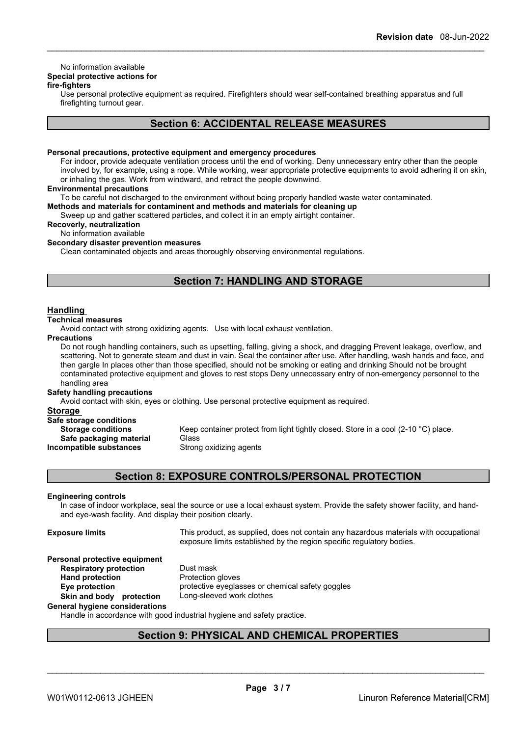# No information available

# **Special protective actions for**

## **fire-fighters**

Use personal protective equipment as required.Firefighters should wear self-contained breathing apparatus and full firefighting turnout gear.

# **Section 6: ACCIDENTAL RELEASE MEASURES**

### **Personal precautions, protective equipment and emergency procedures**

For indoor, provide adequate ventilation process until the end of working. Deny unnecessary entry other than the people involved by, for example, using a rope. While working, wear appropriate protective equipments to avoid adhering it on skin, or inhaling the gas. Work from windward, and retract the people downwind.

### **Environmental precautions**

To be careful not discharged to the environment without being properly handled waste water contaminated.

**Methods and materials for contaminent and methods and materials for cleaning up**

Sweep up and gather scattered particles, and collect it in an empty airtight container.

## **Recoverly, neutralization**

No information available

**Secondary disaster prevention measures**

Clean contaminated objects and areas thoroughly observing environmental regulations.

# **Section 7: HANDLING AND STORAGE**

## **Handling**

## **Technical measures**

Avoid contact with strong oxidizing agents. Use with local exhaust ventilation.

### **Precautions**

Do not rough handling containers, such as upsetting, falling, giving a shock, and dragging Prevent leakage, overflow, and scattering. Not to generate steam and dust in vain. Seal the container after use. After handling, wash hands and face, and then gargle In places other than those specified, should not be smoking or eating and drinking Should not be brought contaminated protective equipment and gloves to rest stops Deny unnecessary entry of non-emergency personnel to the handling area

## **Safety handling precautions**

Avoid contact with skin, eyes or clothing. Use personal protective equipment as required.

#### **Storage**

| Safe storage conditions   |                             |
|---------------------------|-----------------------------|
| <b>Storage conditions</b> | Keep container protect fron |
| Safe packaging material   | Glass                       |
| Incompatible substances   | Strong oxidizing agents     |

**p** container protect from light tightly closed. Store in a cool (2-10 °C) place. **Ing oxidizing agents** 

## **Section 8: EXPOSURE CONTROLS/PERSONAL PROTECTION**

## **Engineering controls**

In case of indoor workplace, seal the source or use a local exhaust system. Provide the safety shower facility, and handand eye-wash facility. And display their position clearly.

**Hand** protection

**Exposure limits** This product, as supplied, does not contain any hazardous materials with occupational exposure limits established by the region specific regulatory bodies.

\_\_\_\_\_\_\_\_\_\_\_\_\_\_\_\_\_\_\_\_\_\_\_\_\_\_\_\_\_\_\_\_\_\_\_\_\_\_\_\_\_\_\_\_\_\_\_\_\_\_\_\_\_\_\_\_\_\_\_\_\_\_\_\_\_\_\_\_\_\_\_\_\_\_\_\_\_\_\_\_\_\_\_\_\_\_\_\_\_\_

# **Personal protective equipment**

**Respiratory protection** Dust mask<br> **Hand protection**<br> **Protection gloves Eye protection** protective eyeglasses or chemical safety goggles **Skin and body protection** Long-sleeved work clothes

## **General hygiene considerations**

Handle in accordance with good industrial hygiene and safety practice.

## **Section 9: PHYSICAL AND CHEMICAL PROPERTIES**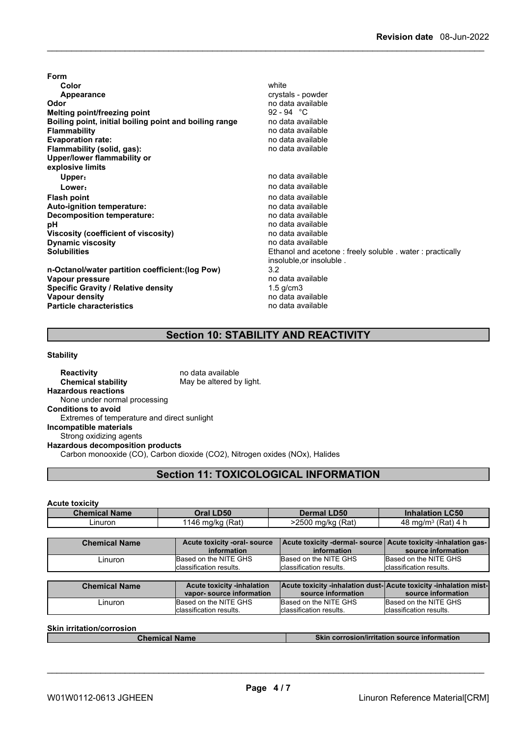**Form Color** white **Color** white **Color** white **Color** white **Color** white **Color Color Color Color Color Color Color Color Color Color Color Color Color Color Color Color Color Color Color Appearance** crystals - powder **Odor Odor** no data available<br> **Melting point/freezing point** example the setting of the setting of the setting of the setting of the setting of the setting of the setting of the setting of the setting of the setting of **Melting point/freezing point**<br>**Boiling point, initial boiling point and boiling range** and data available **Boiling point, initial boiling point and boiling range<br>Flammability Evaporation** rate: **Flammability (solid, gas):** no data available **Upper/lower flammability or explosive limits Upper:** no data available **Lower:** no data available **Flash point** no data available **Auto-ignition temperature: Decomposition temperature:** no data available **pH** no data available<br> **Viscosity (coefficient of viscosity)** no data available **Viscosity (coefficient of viscosity)** no data available **Dynamic** viscosity **Solubilities** Ethanol and acetone : freely soluble . water : practically

**Flammability** no data available insoluble,or insoluble . **n-Octanol/water partition coefficient:(log Pow)** 3.2 **Vapour pressure** no data available to the data available to the set of the set of the Specific Gravity *Condu*<br> **Specific Gravity / Relative density** and the set of the set of the set of the set of the set of the set of t **Vapour density values values values no** data available **Particle characteristics** no data available

# **Section 10: STABILITY AND REACTIVITY**

### **Stability**

**Specific Gravity / Relative density** 

**Reactivity no data available Chemical stability** May be altered by light. **Hazardous reactions** None under normal processing **Conditions to avoid** Extremes of temperature and direct sunlight **Incompatible materials** Strong oxidizing agents **Hazardous decomposition products** Carbon monooxide (CO), Carbon dioxide (CO2), Nitrogen oxides (NOx), Halides

## **Section 11: TOXICOLOGICAL INFORMATION**

**Acute toxicity**

| <b>Chemical Name</b> | <b>LD50</b>                         | <b>LD50</b>               | <b>LC50</b>       |
|----------------------|-------------------------------------|---------------------------|-------------------|
|                      | Dral I                              | Dermal L                  | Inhalation        |
| -inuron              | (Rat)<br>ma/ka<br>1 <i>a</i> 6<br>∼ | (Rat,<br>$-2500$<br>ma/ka | $(Rat)$ 4<br>ma/m |

| <b>Chemical Name</b> | Acute toxicity -oral- source<br>information | Acute toxicity -dermal- source   Acute toxicity -inhalation gas-<br>information | source information       |
|----------------------|---------------------------------------------|---------------------------------------------------------------------------------|--------------------------|
| -inuron              | Based on the NITE GHS                       | Based on the NITE GHS                                                           | Based on the NITE GHS    |
|                      | classification results.                     | classification results.                                                         | Iclassification results. |

| <b>Chemical Name</b> | <b>Acute toxicity -inhalation</b> | <b>Acute toxicity -inhalation dust-Acute toxicity -inhalation mist-</b> |                          |
|----------------------|-----------------------------------|-------------------------------------------------------------------------|--------------------------|
|                      | vapor-source information          | source information                                                      | source information       |
| _inuron              | Based on the NITE GHS             | Based on the NITE GHS                                                   | Based on the NITE GHS    |
|                      | Iclassification results.          | Iclassification results.                                                | Iclassification results. |

**Skin irritation/corrosion**

**Chemical Name Skin corrosion/irritation source information**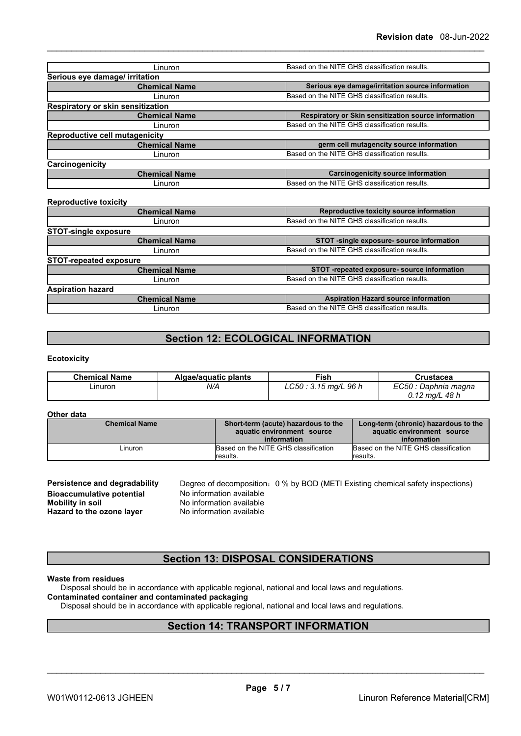| Linuron                               | Based on the NITE GHS classification results.        |  |
|---------------------------------------|------------------------------------------------------|--|
| Serious eye damage/ irritation        |                                                      |  |
| <b>Chemical Name</b>                  | Serious eye damage/irritation source information     |  |
| Linuron                               | Based on the NITE GHS classification results.        |  |
| Respiratory or skin sensitization     |                                                      |  |
| <b>Chemical Name</b>                  | Respiratory or Skin sensitization source information |  |
| Linuron                               | Based on the NITE GHS classification results.        |  |
| <b>Reproductive cell mutagenicity</b> |                                                      |  |
| <b>Chemical Name</b>                  | germ cell mutagencity source information             |  |
| Linuron                               | Based on the NITE GHS classification results.        |  |
| Carcinogenicity                       |                                                      |  |
| <b>Chemical Name</b>                  | <b>Carcinogenicity source information</b>            |  |
| Linuron                               | Based on the NITE GHS classification results.        |  |

| <b>Reproductive toxicity</b>  |                                               |
|-------------------------------|-----------------------------------------------|
| <b>Chemical Name</b>          | Reproductive toxicity source information      |
| Linuron                       | Based on the NITE GHS classification results. |
| <b>STOT-single exposure</b>   |                                               |
| <b>Chemical Name</b>          | STOT -single exposure- source information     |
| Linuron                       | Based on the NITE GHS classification results. |
| <b>STOT-repeated exposure</b> |                                               |
| <b>Chemical Name</b>          | STOT-repeated exposure-source information     |
| Linuron                       | Based on the NITE GHS classification results. |
| <b>Aspiration hazard</b>      |                                               |
| <b>Chemical Name</b>          | <b>Aspiration Hazard source information</b>   |
| Linuron                       | Based on the NITE GHS classification results. |
|                               |                                               |

# **Section 12: ECOLOGICAL INFORMATION**

## **Ecotoxicity**

| <b>Chemical Name</b> | Algae/aguatic plants | Fish                     | Crustacea             |
|----------------------|----------------------|--------------------------|-----------------------|
| Linuron              | N/A                  | LC50<br>. 3.15 mg/L 96 h | EC50<br>Daphnia magna |
|                      |                      |                          | 48 h<br>$0.12$ mg/L   |

## **Other data**

| <b>Chemical Name</b> | Short-term (acute) hazardous to the<br>aquatic environment source<br>information | Long-term (chronic) hazardous to the<br>aquatic environment source<br>information |
|----------------------|----------------------------------------------------------------------------------|-----------------------------------------------------------------------------------|
| _inuron_             | Based on the NITE GHS classification<br>lresults.                                | Based on the NITE GHS classification<br>results.                                  |

| Persistence and degradability    | Degree of decomposition: 0 % by BOD (METI Existing chemical safety inspections) |
|----------------------------------|---------------------------------------------------------------------------------|
| <b>Bioaccumulative potential</b> | No information available                                                        |
| Mobility in soil                 | No information available                                                        |
| Hazard to the ozone layer        | No information available                                                        |

## **Section 13: DISPOSAL CONSIDERATIONS**

## **Waste from residues**

Disposal should be in accordance with applicable regional, national and local laws and regulations. **Contaminated container and contaminated packaging**

Disposal should be in accordance with applicable regional, national and local laws and regulations.

# **Section 14: TRANSPORT INFORMATION**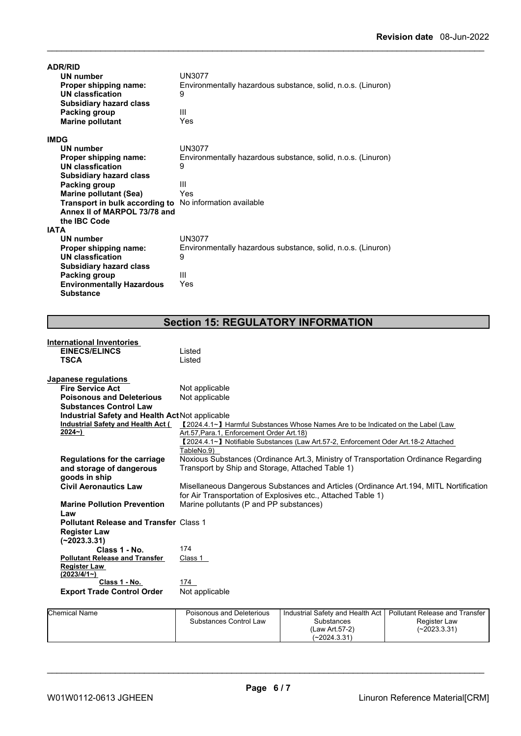| <b>ADR/RID</b><br>UN number<br>Proper shipping name:<br>UN classfication<br><b>Subsidiary hazard class</b><br>Packing group<br><b>Marine pollutant</b> | <b>UN3077</b><br>Environmentally hazardous substance, solid, n.o.s. (Linuron)<br>9<br>Ш<br>Yes |
|--------------------------------------------------------------------------------------------------------------------------------------------------------|------------------------------------------------------------------------------------------------|
| <b>IMDG</b>                                                                                                                                            |                                                                                                |
| UN number                                                                                                                                              | <b>UN3077</b>                                                                                  |
| Proper shipping name:                                                                                                                                  | Environmentally hazardous substance, solid, n.o.s. (Linuron)                                   |
| <b>UN classfication</b>                                                                                                                                | 9                                                                                              |
| <b>Subsidiary hazard class</b>                                                                                                                         |                                                                                                |
| Packing group                                                                                                                                          | Ш                                                                                              |
| <b>Marine pollutant (Sea)</b>                                                                                                                          | Yes                                                                                            |
| <b>Transport in bulk according to</b> No information available                                                                                         |                                                                                                |
| Annex II of MARPOL 73/78 and                                                                                                                           |                                                                                                |
| the IBC Code<br><b>IATA</b>                                                                                                                            |                                                                                                |
| <b>UN number</b>                                                                                                                                       | <b>UN3077</b>                                                                                  |
| Proper shipping name:                                                                                                                                  | Environmentally hazardous substance, solid, n.o.s. (Linuron)                                   |
| <b>UN classfication</b>                                                                                                                                | 9                                                                                              |
| <b>Subsidiary hazard class</b>                                                                                                                         |                                                                                                |
| Packing group                                                                                                                                          | Ш                                                                                              |
| <b>Environmentally Hazardous</b>                                                                                                                       | Yes                                                                                            |
| <b>Substance</b>                                                                                                                                       |                                                                                                |

# **Section 15: REGULATORY INFORMATION**

| <b>International Inventories</b>                |                                                                                                                                                                                                   |                                                                                  |                                       |  |  |  |  |
|-------------------------------------------------|---------------------------------------------------------------------------------------------------------------------------------------------------------------------------------------------------|----------------------------------------------------------------------------------|---------------------------------------|--|--|--|--|
| <b>EINECS/ELINCS</b>                            | Listed                                                                                                                                                                                            |                                                                                  |                                       |  |  |  |  |
| <b>TSCA</b>                                     | Listed                                                                                                                                                                                            |                                                                                  |                                       |  |  |  |  |
| Japanese regulations                            |                                                                                                                                                                                                   |                                                                                  |                                       |  |  |  |  |
| <b>Fire Service Act</b>                         | Not applicable                                                                                                                                                                                    |                                                                                  |                                       |  |  |  |  |
| <b>Poisonous and Deleterious</b>                | Not applicable                                                                                                                                                                                    |                                                                                  |                                       |  |  |  |  |
| <b>Substances Control Law</b>                   |                                                                                                                                                                                                   |                                                                                  |                                       |  |  |  |  |
| Industrial Safety and Health Act Not applicable |                                                                                                                                                                                                   |                                                                                  |                                       |  |  |  |  |
| Industrial Safety and Health Act (              |                                                                                                                                                                                                   | 【2024.4.1∼】 Harmful Substances Whose Names Are to be Indicated on the Label (Law |                                       |  |  |  |  |
| $2024 - )$                                      | Art.57, Para.1, Enforcement Order Art.18)                                                                                                                                                         |                                                                                  |                                       |  |  |  |  |
|                                                 | [2024.4.1~] Notifiable Substances (Law Art.57-2, Enforcement Oder Art.18-2 Attached<br>TableNo.9)                                                                                                 |                                                                                  |                                       |  |  |  |  |
|                                                 |                                                                                                                                                                                                   |                                                                                  |                                       |  |  |  |  |
| Regulations for the carriage                    | Noxious Substances (Ordinance Art.3, Ministry of Transportation Ordinance Regarding                                                                                                               |                                                                                  |                                       |  |  |  |  |
| and storage of dangerous                        | Transport by Ship and Storage, Attached Table 1)                                                                                                                                                  |                                                                                  |                                       |  |  |  |  |
| goods in ship                                   |                                                                                                                                                                                                   |                                                                                  |                                       |  |  |  |  |
| <b>Civil Aeronautics Law</b>                    | Misellaneous Dangerous Substances and Articles (Ordinance Art. 194, MITL Nortification<br>for Air Transportation of Explosives etc., Attached Table 1)<br>Marine pollutants (P and PP substances) |                                                                                  |                                       |  |  |  |  |
| <b>Marine Pollution Prevention</b>              |                                                                                                                                                                                                   |                                                                                  |                                       |  |  |  |  |
| Law                                             |                                                                                                                                                                                                   |                                                                                  |                                       |  |  |  |  |
| <b>Pollutant Release and Transfer Class 1</b>   |                                                                                                                                                                                                   |                                                                                  |                                       |  |  |  |  |
| <b>Register Law</b>                             |                                                                                                                                                                                                   |                                                                                  |                                       |  |  |  |  |
| $(-2023.3.31)$                                  |                                                                                                                                                                                                   |                                                                                  |                                       |  |  |  |  |
| Class 1 - No.                                   | 174                                                                                                                                                                                               |                                                                                  |                                       |  |  |  |  |
| <b>Pollutant Release and Transfer</b>           | Class 1                                                                                                                                                                                           |                                                                                  |                                       |  |  |  |  |
| <b>Register Law</b>                             |                                                                                                                                                                                                   |                                                                                  |                                       |  |  |  |  |
| (2023/4/1)                                      |                                                                                                                                                                                                   |                                                                                  |                                       |  |  |  |  |
| Class 1 - No.                                   | 174                                                                                                                                                                                               |                                                                                  |                                       |  |  |  |  |
| <b>Export Trade Control Order</b>               | Not applicable                                                                                                                                                                                    |                                                                                  |                                       |  |  |  |  |
| <b>Chemical Name</b>                            | Poisonous and Deleterious                                                                                                                                                                         | Industrial Safety and Health Act                                                 | <b>Pollutant Release and Transfer</b> |  |  |  |  |
|                                                 | Substances Control Law                                                                                                                                                                            | Substances                                                                       | Register Law                          |  |  |  |  |

| Chemical Name | Poisonous and Deleterious | I Industrial Safety and Health Act I Pollutant Release and Transfer |                |  |
|---------------|---------------------------|---------------------------------------------------------------------|----------------|--|
|               | Substances Control Law    | Substances                                                          | Register Law   |  |
|               |                           | (Law Art 57-2)                                                      | $(-2023.3.31)$ |  |
|               |                           | $(-2024.3.31)$                                                      |                |  |